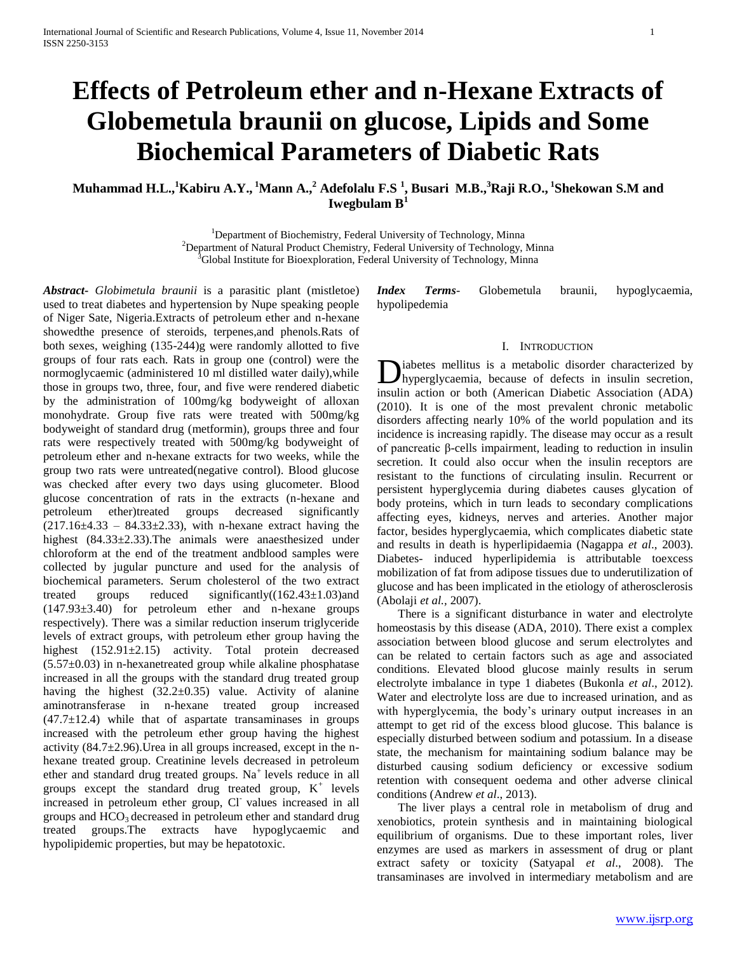# **Effects of Petroleum ether and n-Hexane Extracts of Globemetula braunii on glucose, Lipids and Some Biochemical Parameters of Diabetic Rats**

**Muhammad H.L.,<sup>1</sup>Kabiru A.Y., <sup>1</sup>Mann A.,<sup>2</sup> Adefolalu F.S <sup>1</sup> , Busari M.B.,<sup>3</sup>Raji R.O., <sup>1</sup> Shekowan S.M and Iwegbulam B<sup>1</sup>**

> <sup>1</sup>Department of Biochemistry, Federal University of Technology, Minna <sup>2</sup>Department of Natural Product Chemistry, Federal University of Technology, Minna  $3$ Global Institute for Bioexploration, Federal University of Technology, Minna

*Abstract***-** *Globimetula braunii* is a parasitic plant (mistletoe) used to treat diabetes and hypertension by Nupe speaking people of Niger Sate, Nigeria.Extracts of petroleum ether and n-hexane showedthe presence of steroids, terpenes,and phenols.Rats of both sexes, weighing (135-244)g were randomly allotted to five groups of four rats each. Rats in group one (control) were the normoglycaemic (administered 10 ml distilled water daily),while those in groups two, three, four, and five were rendered diabetic by the administration of 100mg/kg bodyweight of alloxan monohydrate. Group five rats were treated with 500mg/kg bodyweight of standard drug (metformin), groups three and four rats were respectively treated with 500mg/kg bodyweight of petroleum ether and n-hexane extracts for two weeks, while the group two rats were untreated(negative control). Blood glucose was checked after every two days using glucometer. Blood glucose concentration of rats in the extracts (n-hexane and petroleum ether)treated groups decreased significantly  $(217.16\pm4.33 - 84.33\pm2.33)$ , with n-hexane extract having the highest (84.33±2.33). The animals were anaesthesized under chloroform at the end of the treatment andblood samples were collected by jugular puncture and used for the analysis of biochemical parameters. Serum cholesterol of the two extract treated groups reduced significantly((162.43±1.03)and (147.93±3.40) for petroleum ether and n-hexane groups respectively). There was a similar reduction inserum triglyceride levels of extract groups, with petroleum ether group having the highest (152.91±2.15) activity. Total protein decreased  $(5.57\pm0.03)$  in n-hexanetreated group while alkaline phosphatase increased in all the groups with the standard drug treated group having the highest (32.2±0.35) value. Activity of alanine aminotransferase in n-hexane treated group increased  $(47.7 \pm 12.4)$  while that of aspartate transaminases in groups increased with the petroleum ether group having the highest activity  $(84.7 \pm 2.96)$ . Urea in all groups increased, except in the nhexane treated group. Creatinine levels decreased in petroleum ether and standard drug treated groups.  $Na<sup>+</sup>$  levels reduce in all groups except the standard drug treated group,  $K^+$  levels increased in petroleum ether group, Cl values increased in all groups and  $HCO<sub>3</sub>$  decreased in petroleum ether and standard drug treated groups.The extracts have hypoglycaemic and hypolipidemic properties, but may be hepatotoxic.

*Index Terms*- Globemetula braunii, hypoglycaemia, hypolipedemia

#### I. INTRODUCTION

iabetes mellitus is a metabolic disorder characterized by hyperglycaemia, because of defects in insulin secretion, **D**iabetes mellitus is a metabolic disorder characterized by hyperglycaemia, because of defects in insulin secretion, insulin action or both (American Diabetic Association (ADA) (2010). It is one of the most prevalent chronic metabolic disorders affecting nearly 10% of the world population and its incidence is increasing rapidly. The disease may occur as a result of pancreatic β-cells impairment, leading to reduction in insulin secretion. It could also occur when the insulin receptors are resistant to the functions of circulating insulin. Recurrent or persistent hyperglycemia during diabetes causes glycation of body proteins, which in turn leads to secondary complications affecting eyes, kidneys, nerves and arteries. Another major factor, besides hyperglycaemia, which complicates diabetic state and results in death is hyperlipidaemia (Nagappa *et al*., 2003). Diabetes- induced hyperlipidemia is attributable toexcess mobilization of fat from adipose tissues due to underutilization of glucose and has been implicated in the etiology of atherosclerosis (Abolaji *et al.,* 2007).

 There is a significant disturbance in water and electrolyte homeostasis by this disease (ADA, 2010). There exist a complex association between blood glucose and serum electrolytes and can be related to certain factors such as age and associated conditions. Elevated blood glucose mainly results in serum electrolyte imbalance in type 1 diabetes (Bukonla *et al*., 2012). Water and electrolyte loss are due to increased urination, and as with hyperglycemia, the body's urinary output increases in an attempt to get rid of the excess blood glucose. This balance is especially disturbed between sodium and potassium. In a disease state, the mechanism for maintaining sodium balance may be disturbed causing sodium deficiency or excessive sodium retention with consequent oedema and other adverse clinical conditions (Andrew *et al*., 2013).

 The liver plays a central role in metabolism of drug and xenobiotics, protein synthesis and in maintaining biological equilibrium of organisms. Due to these important roles, liver enzymes are used as markers in assessment of drug or plant extract safety or toxicity (Satyapal *et al*., 2008). The transaminases are involved in intermediary metabolism and are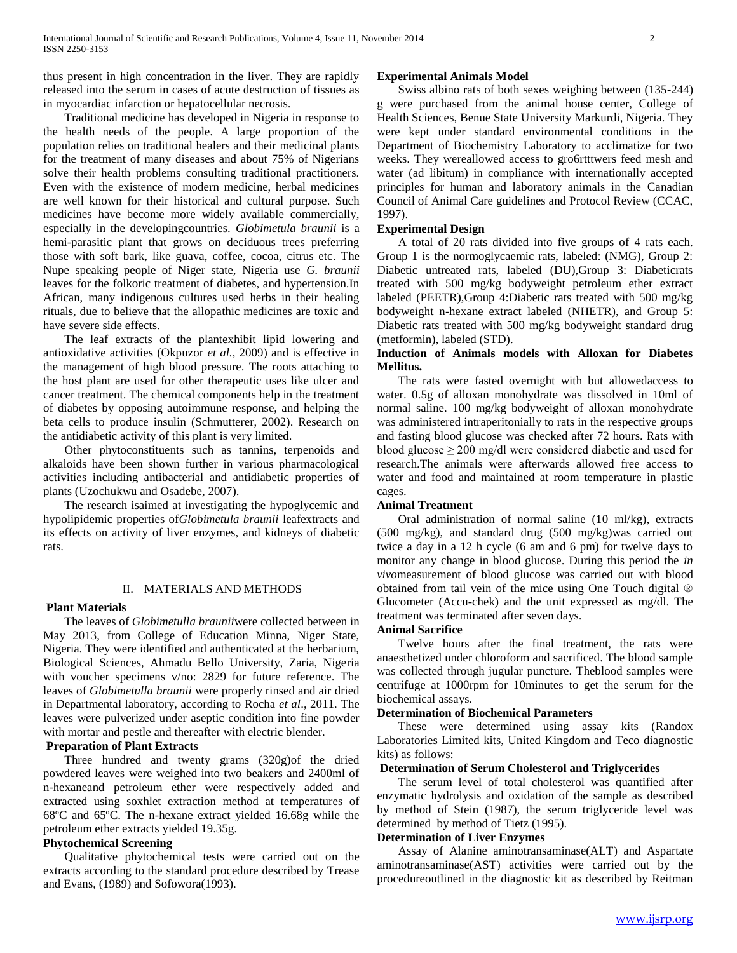thus present in high concentration in the liver. They are rapidly released into the serum in cases of acute destruction of tissues as in myocardiac infarction or hepatocellular necrosis.

 Traditional medicine has developed in Nigeria in response to the health needs of the people. A large proportion of the population relies on traditional healers and their medicinal plants for the treatment of many diseases and about 75% of Nigerians solve their health problems consulting traditional practitioners. Even with the existence of modern medicine, herbal medicines are well known for their historical and cultural purpose. Such medicines have become more widely available commercially, especially in the developingcountries. *Globimetula braunii* is a hemi-parasitic plant that grows on deciduous trees preferring those with soft bark, like guava, coffee, cocoa, citrus etc. The Nupe speaking people of Niger state, Nigeria use *G. braunii* leaves for the folkoric treatment of diabetes, and hypertension.In African, many indigenous cultures used herbs in their healing rituals, due to believe that the allopathic medicines are toxic and have severe side effects.

 The leaf extracts of the plantexhibit lipid lowering and antioxidative activities (Okpuzor *et al.,* 2009) and is effective in the management of high blood pressure. The roots attaching to the host plant are used for other therapeutic uses like ulcer and cancer treatment. The chemical components help in the treatment of diabetes by opposing autoimmune response, and helping the beta cells to produce insulin (Schmutterer, 2002). Research on the antidiabetic activity of this plant is very limited.

 Other phytoconstituents such as tannins, terpenoids and alkaloids have been shown further in various pharmacological activities including antibacterial and antidiabetic properties of plants (Uzochukwu and Osadebe, 2007).

 The research isaimed at investigating the hypoglycemic and hypolipidemic properties of*Globimetula braunii* leafextracts and its effects on activity of liver enzymes, and kidneys of diabetic rats.

## II. MATERIALS AND METHODS

#### **Plant Materials**

 The leaves of *Globimetulla braunii*were collected between in May 2013, from College of Education Minna, Niger State, Nigeria. They were identified and authenticated at the herbarium, Biological Sciences, Ahmadu Bello University, Zaria, Nigeria with voucher specimens v/no: 2829 for future reference. The leaves of *Globimetulla braunii* were properly rinsed and air dried in Departmental laboratory, according to Rocha *et al*., 2011. The leaves were pulverized under aseptic condition into fine powder with mortar and pestle and thereafter with electric blender.

### **Preparation of Plant Extracts**

 Three hundred and twenty grams (320g)of the dried powdered leaves were weighed into two beakers and 2400ml of n-hexaneand petroleum ether were respectively added and extracted using soxhlet extraction method at temperatures of 68ºC and 65ºC. The n-hexane extract yielded 16.68g while the petroleum ether extracts yielded 19.35g.

#### **Phytochemical Screening**

 Qualitative phytochemical tests were carried out on the extracts according to the standard procedure described by Trease and Evans, (1989) and Sofowora(1993).

#### **Experimental Animals Model**

 Swiss albino rats of both sexes weighing between (135-244) g were purchased from the animal house center, College of Health Sciences, Benue State University Markurdi, Nigeria. They were kept under standard environmental conditions in the Department of Biochemistry Laboratory to acclimatize for two weeks. They wereallowed access to gro6rtttwers feed mesh and water (ad libitum) in compliance with internationally accepted principles for human and laboratory animals in the Canadian Council of Animal Care guidelines and Protocol Review (CCAC, 1997).

#### **Experimental Design**

 A total of 20 rats divided into five groups of 4 rats each. Group 1 is the normoglycaemic rats, labeled: (NMG), Group 2: Diabetic untreated rats, labeled (DU),Group 3: Diabeticrats treated with 500 mg/kg bodyweight petroleum ether extract labeled (PEETR),Group 4:Diabetic rats treated with 500 mg/kg bodyweight n-hexane extract labeled (NHETR), and Group 5: Diabetic rats treated with 500 mg/kg bodyweight standard drug (metformin), labeled (STD).

#### **Induction of Animals models with Alloxan for Diabetes Mellitus.**

 The rats were fasted overnight with but allowedaccess to water. 0.5g of alloxan monohydrate was dissolved in 10ml of normal saline. 100 mg/kg bodyweight of alloxan monohydrate was administered intraperitonially to rats in the respective groups and fasting blood glucose was checked after 72 hours. Rats with blood glucose  $\geq 200$  mg/dl were considered diabetic and used for research.The animals were afterwards allowed free access to water and food and maintained at room temperature in plastic cages.

#### **Animal Treatment**

 Oral administration of normal saline (10 ml/kg), extracts (500 mg/kg), and standard drug (500 mg/kg)was carried out twice a day in a 12 h cycle (6 am and 6 pm) for twelve days to monitor any change in blood glucose. During this period the *in vivo*measurement of blood glucose was carried out with blood obtained from tail vein of the mice using One Touch digital ® Glucometer (Accu-chek) and the unit expressed as mg/dl. The treatment was terminated after seven days.

#### **Animal Sacrifice**

 Twelve hours after the final treatment, the rats were anaesthetized under chloroform and sacrificed. The blood sample was collected through jugular puncture. Theblood samples were centrifuge at 1000rpm for 10minutes to get the serum for the biochemical assays.

#### **Determination of Biochemical Parameters**

 These were determined using assay kits (Randox Laboratories Limited kits, United Kingdom and Teco diagnostic kits) as follows:

#### **Determination of Serum Cholesterol and Triglycerides**

 The serum level of total cholesterol was quantified after enzymatic hydrolysis and oxidation of the sample as described by method of Stein (1987), the serum triglyceride level was determined by method of Tietz (1995).

#### **Determination of Liver Enzymes**

 Assay of Alanine aminotransaminase(ALT) and Aspartate aminotransaminase(AST) activities were carried out by the procedureoutlined in the diagnostic kit as described by Reitman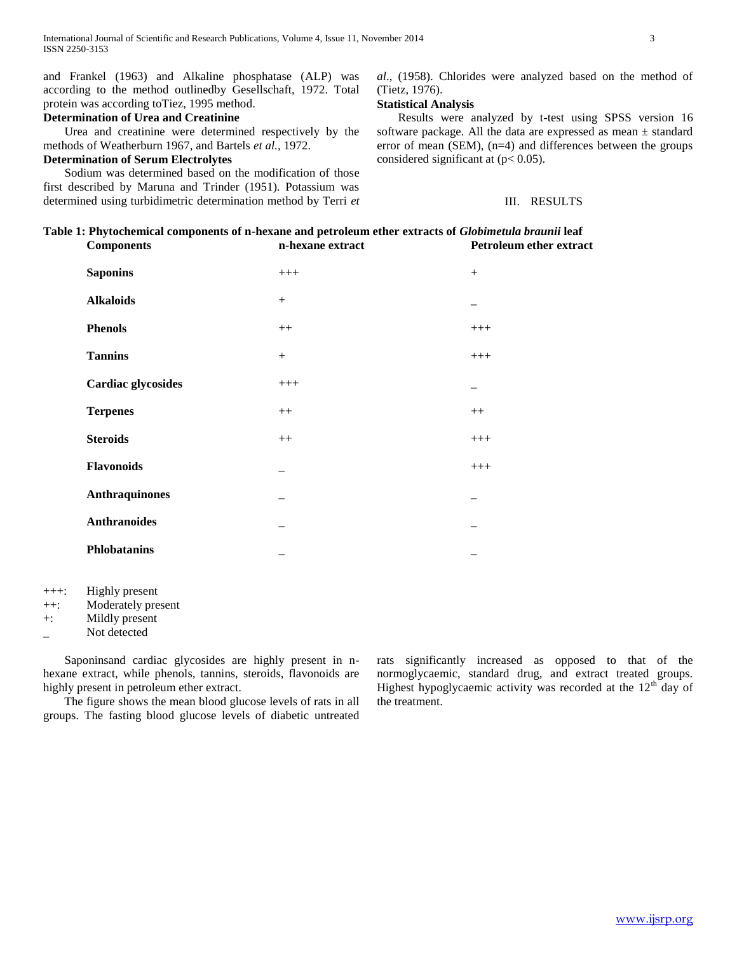and Frankel (1963) and Alkaline phosphatase (ALP) was according to the method outlinedby Gesellschaft, 1972. Total protein was according toTiez, 1995 method.

## **Determination of Urea and Creatinine**

 Urea and creatinine were determined respectively by the methods of Weatherburn 1967, and Bartels *et al.,* 1972.

# **Determination of Serum Electrolytes**

 Sodium was determined based on the modification of those first described by Maruna and Trinder (1951). Potassium was determined using turbidimetric determination method by Terri *et*  *al*., (1958). Chlorides were analyzed based on the method of (Tietz, 1976).

#### **Statistical Analysis**

 Results were analyzed by t-test using SPSS version 16 software package. All the data are expressed as mean ± standard error of mean (SEM), (n=4) and differences between the groups considered significant at  $(p< 0.05)$ .

## III. RESULTS

# **Table 1: Phytochemical components of n-hexane and petroleum ether extracts of** *Globimetula braunii* **leaf Components n-hexane extract Petroleum ether extract**

| <b>Saponins</b>       | $+++$  | $+$   |
|-----------------------|--------|-------|
| <b>Alkaloids</b>      | $+$    |       |
| <b>Phenols</b>        | $++$   | $+++$ |
| <b>Tannins</b>        | $^{+}$ | $+++$ |
| Cardiac glycosides    | $+++$  |       |
| <b>Terpenes</b>       | $++$   | $++$  |
| <b>Steroids</b>       | $++$   | $+++$ |
| <b>Flavonoids</b>     |        | $+++$ |
| <b>Anthraquinones</b> |        |       |
| <b>Anthranoides</b>   |        |       |
| <b>Phlobatanins</b>   |        |       |

- +++: Highly present
- ++: Moderately present
- +: Mildly present
- Not detected

 Saponinsand cardiac glycosides are highly present in nhexane extract, while phenols, tannins, steroids, flavonoids are highly present in petroleum ether extract.

 The figure shows the mean blood glucose levels of rats in all groups. The fasting blood glucose levels of diabetic untreated rats significantly increased as opposed to that of the normoglycaemic, standard drug, and extract treated groups. Highest hypoglycaemic activity was recorded at the  $12<sup>th</sup>$  day of the treatment.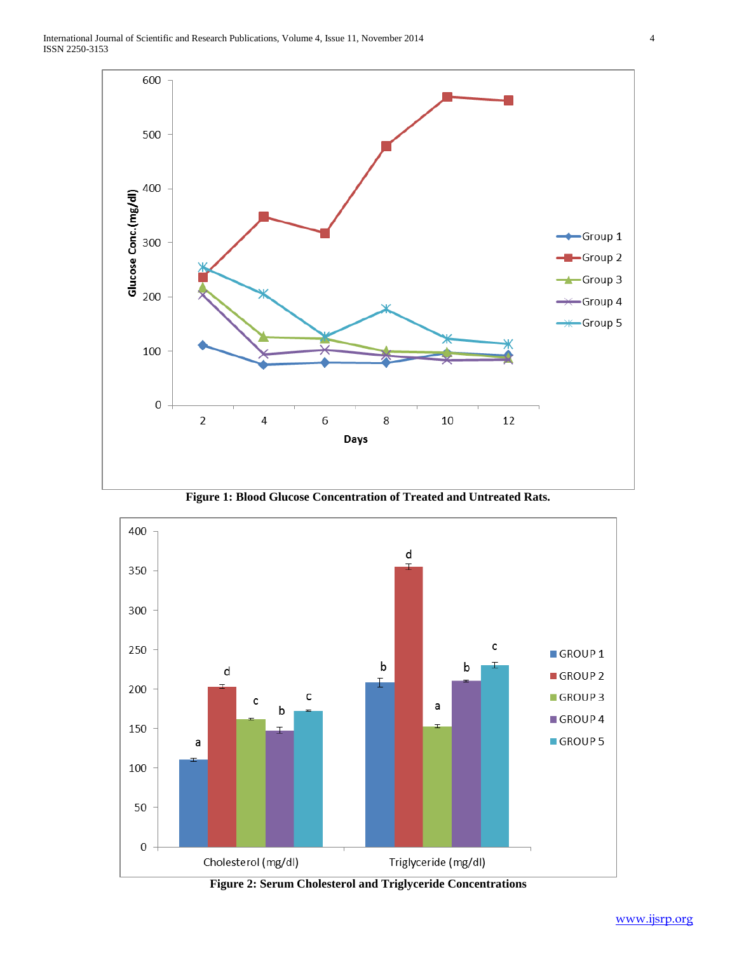

**Figure 1: Blood Glucose Concentration of Treated and Untreated Rats.**



**Figure 2: Serum Cholesterol and Triglyceride Concentrations**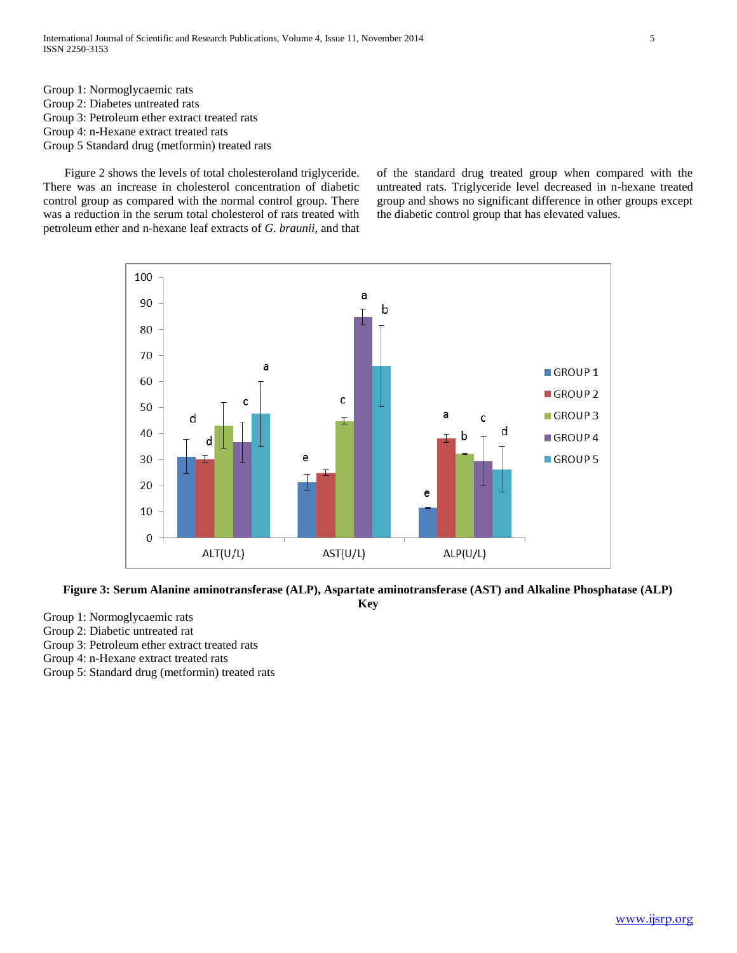International Journal of Scientific and Research Publications, Volume 4, Issue 11, November 2014 5 ISSN 2250-3153

Group 1: Normoglycaemic rats

Group 2: Diabetes untreated rats

- Group 3: Petroleum ether extract treated rats
- Group 4: n-Hexane extract treated rats
- Group 5 Standard drug (metformin) treated rats

 Figure 2 shows the levels of total cholesteroland triglyceride. There was an increase in cholesterol concentration of diabetic control group as compared with the normal control group. There was a reduction in the serum total cholesterol of rats treated with petroleum ether and n-hexane leaf extracts of *G. braunii,* and that of the standard drug treated group when compared with the untreated rats. Triglyceride level decreased in n-hexane treated group and shows no significant difference in other groups except the diabetic control group that has elevated values.



#### **Figure 3: Serum Alanine aminotransferase (ALP), Aspartate aminotransferase (AST) and Alkaline Phosphatase (ALP) Key**

Group 1: Normoglycaemic rats

Group 2: Diabetic untreated rat

Group 3: Petroleum ether extract treated rats

Group 4: n-Hexane extract treated rats

Group 5: Standard drug (metformin) treated rats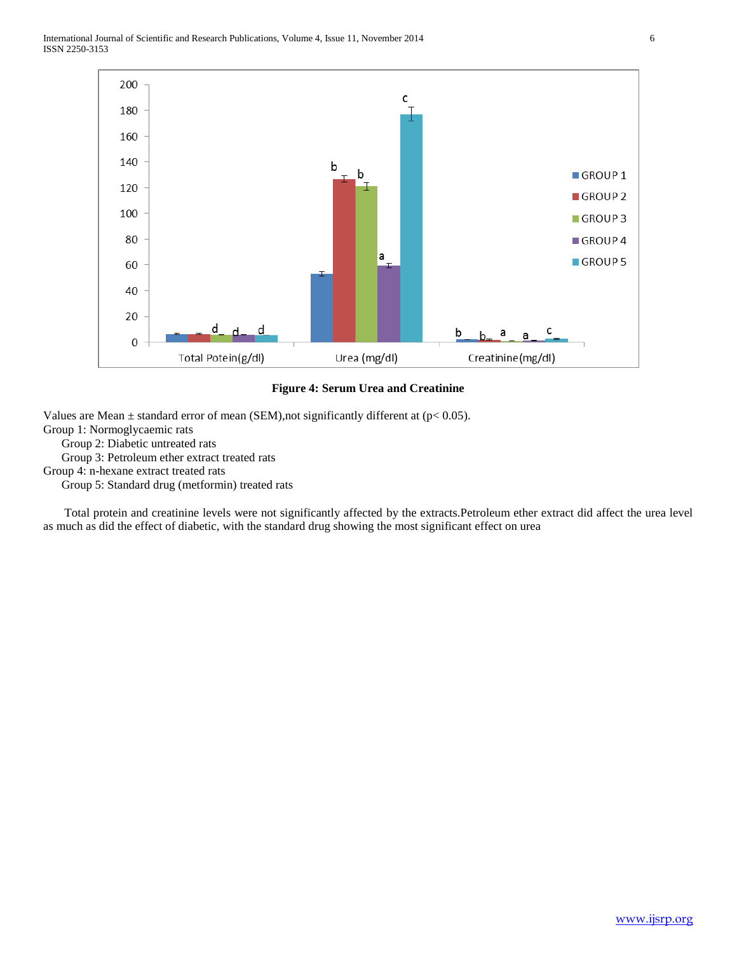

#### **Figure 4: Serum Urea and Creatinine**

Values are Mean  $\pm$  standard error of mean (SEM), not significantly different at (p< 0.05).

Group 1: Normoglycaemic rats

Group 2: Diabetic untreated rats

Group 3: Petroleum ether extract treated rats

Group 4: n-hexane extract treated rats

Group 5: Standard drug (metformin) treated rats

 Total protein and creatinine levels were not significantly affected by the extracts.Petroleum ether extract did affect the urea level as much as did the effect of diabetic, with the standard drug showing the most significant effect on urea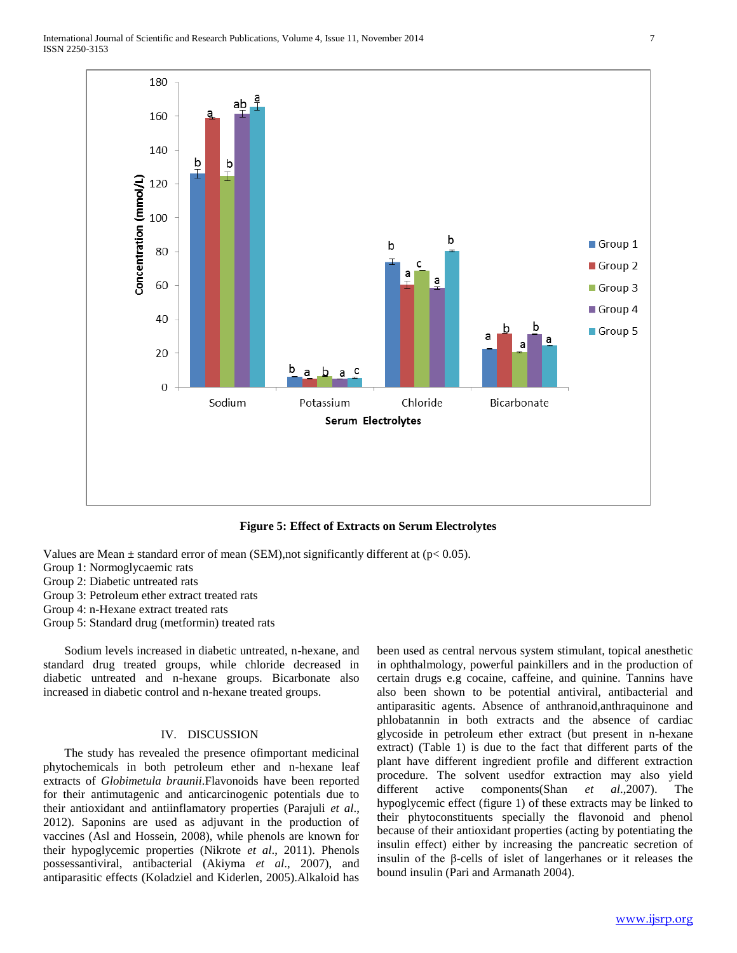

**Figure 5: Effect of Extracts on Serum Electrolytes**

Values are Mean  $\pm$  standard error of mean (SEM), not significantly different at ( $p$ < 0.05).

- Group 1: Normoglycaemic rats
- Group 2: Diabetic untreated rats
- Group 3: Petroleum ether extract treated rats
- Group 4: n-Hexane extract treated rats
- Group 5: Standard drug (metformin) treated rats

 Sodium levels increased in diabetic untreated, n-hexane, and standard drug treated groups, while chloride decreased in diabetic untreated and n-hexane groups. Bicarbonate also increased in diabetic control and n-hexane treated groups.

## IV. DISCUSSION

 The study has revealed the presence ofimportant medicinal phytochemicals in both petroleum ether and n-hexane leaf extracts of *Globimetula braunii*.Flavonoids have been reported for their antimutagenic and anticarcinogenic potentials due to their antioxidant and antiinflamatory properties (Parajuli *et al*., 2012). Saponins are used as adjuvant in the production of vaccines (Asl and Hossein, 2008), while phenols are known for their hypoglycemic properties (Nikrote *et al*., 2011). Phenols possessantiviral, antibacterial (Akiyma *et al*., 2007), and antiparasitic effects (Koladziel and Kiderlen, 2005).Alkaloid has

been used as central nervous system stimulant, topical anesthetic in ophthalmology, powerful painkillers and in the production of certain drugs e.g cocaine, caffeine, and quinine. Tannins have also been shown to be potential antiviral, antibacterial and antiparasitic agents. Absence of anthranoid,anthraquinone and phlobatannin in both extracts and the absence of cardiac glycoside in petroleum ether extract (but present in n-hexane extract) (Table 1) is due to the fact that different parts of the plant have different ingredient profile and different extraction procedure. The solvent usedfor extraction may also yield different active components(Shan *et al*.,2007). The hypoglycemic effect (figure 1) of these extracts may be linked to their phytoconstituents specially the flavonoid and phenol because of their antioxidant properties (acting by potentiating the insulin effect) either by increasing the pancreatic secretion of insulin of the β-cells of islet of langerhanes or it releases the bound insulin (Pari and Armanath 2004).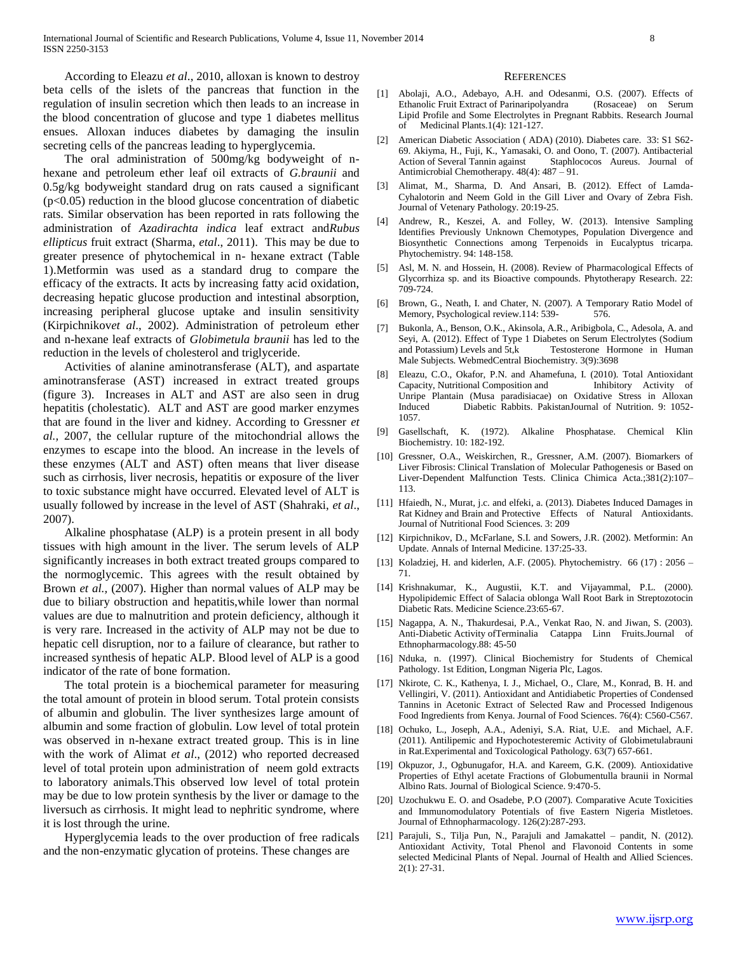According to Eleazu *et al*., 2010, alloxan is known to destroy beta cells of the islets of the pancreas that function in the regulation of insulin secretion which then leads to an increase in the blood concentration of glucose and type 1 diabetes mellitus ensues. Alloxan induces diabetes by damaging the insulin secreting cells of the pancreas leading to hyperglycemia.

 The oral administration of 500mg/kg bodyweight of nhexane and petroleum ether leaf oil extracts of *G.braunii* and 0.5g/kg bodyweight standard drug on rats caused a significant (p<0.05) reduction in the blood glucose concentration of diabetic rats. Similar observation has been reported in rats following the administration of *Azadirachta indica* leaf extract and*Rubus ellipticus* fruit extract (Sharma, *etal*., 2011). This may be due to greater presence of phytochemical in n- hexane extract (Table 1).Metformin was used as a standard drug to compare the efficacy of the extracts. It acts by increasing fatty acid oxidation, decreasing hepatic glucose production and intestinal absorption, increasing peripheral glucose uptake and insulin sensitivity (Kirpichnikov*et al*., 2002). Administration of petroleum ether and n-hexane leaf extracts of *Globimetula braunii* has led to the reduction in the levels of cholesterol and triglyceride.

 Activities of alanine aminotransferase (ALT), and aspartate aminotransferase (AST) increased in extract treated groups (figure 3). Increases in ALT and AST are also seen in drug hepatitis (cholestatic). ALT and AST are good marker enzymes that are found in the liver and kidney. According to Gressner *et al.,* 2007, the cellular rupture of the mitochondrial allows the enzymes to escape into the blood. An increase in the levels of these enzymes (ALT and AST) often means that liver disease such as cirrhosis, liver necrosis, hepatitis or exposure of the liver to toxic substance might have occurred. Elevated level of ALT is usually followed by increase in the level of AST (Shahraki, *et al*., 2007).

 Alkaline phosphatase (ALP) is a protein present in all body tissues with high amount in the liver. The serum levels of ALP significantly increases in both extract treated groups compared to the normoglycemic. This agrees with the result obtained by Brown *et al.,* (2007). Higher than normal values of ALP may be due to biliary obstruction and hepatitis,while lower than normal values are due to malnutrition and protein deficiency, although it is very rare. Increased in the activity of ALP may not be due to hepatic cell disruption, nor to a failure of clearance, but rather to increased synthesis of hepatic ALP. Blood level of ALP is a good indicator of the rate of bone formation.

 The total protein is a biochemical parameter for measuring the total amount of protein in blood serum. Total protein consists of albumin and globulin. The liver synthesizes large amount of albumin and some fraction of globulin. Low level of total protein was observed in n-hexane extract treated group. This is in line with the work of Alimat *et al*., (2012) who reported decreased level of total protein upon administration of neem gold extracts to laboratory animals.This observed low level of total protein may be due to low protein synthesis by the liver or damage to the liversuch as cirrhosis. It might lead to nephritic syndrome, where it is lost through the urine.

 Hyperglycemia leads to the over production of free radicals and the non-enzymatic glycation of proteins. These changes are

#### **REFERENCES**

- [1] Abolaji, A.O., Adebayo, A.H. and Odesanmi, O.S. (2007). Effects of Ethanolic Fruit Extract of Parinaripolyandra (Rosaceae) on Serum Lipid Profile and Some Electrolytes in Pregnant Rabbits. Research Journal of Medicinal Plants.1(4): 121-127.
- [2] American Diabetic Association ( ADA) (2010). Diabetes care. 33: S1 S62- 69. Akiyma, H., Fuji, K., Yamasaki, O. and Oono, T. (2007). Antibacterial Action of Several Tannin against Staphlococos Aureus. Journal of Antimicrobial Chemotherapy. 48(4): 487 – 91.
- [3] Alimat, M., Sharma, D. And Ansari, B. (2012). Effect of Lamda-Cyhalotorin and Neem Gold in the Gill Liver and Ovary of Zebra Fish. Journal of Vetenary Pathology. 20:19-25.
- [4] Andrew, R., Keszei, A. and Folley, W. (2013). Intensive Sampling Identifies Previously Unknown Chemotypes, Population Divergence and Biosynthetic Connections among Terpenoids in Eucalyptus tricarpa. Phytochemistry. 94: 148-158.
- [5] Asl, M. N. and Hossein, H. (2008). Review of Pharmacological Effects of Glycorrhiza sp. and its Bioactive compounds. Phytotherapy Research. 22: 709-724.
- [6] Brown, G., Neath, I. and Chater, N. (2007). A Temporary Ratio Model of Memory, Psychological review.114: 539- 576.
- [7] Bukonla, A., Benson, O.K., Akinsola, A.R., Aribigbola, C., Adesola, A. and Seyi, A. (2012). Effect of Type 1 Diabetes on Serum Electrolytes (Sodium and Potassium) Levels and 5t, k Testosterone Hormone in Human Testosterone Hormone in Human Male Subjects. WebmedCentral Biochemistry. 3(9):3698
- [8] Eleazu, C.O., Okafor, P.N. and Ahamefuna, I. (2010). Total Antioxidant Capacity, Nutritional Composition and Inhibitory Activity of Unripe Plantain (Musa paradisiacae) on Oxidative Stress in Alloxan Induced Diabetic Rabbits. PakistanJournal of Nutrition. 9: 1052- 1057.
- [9] Gasellschaft, K. (1972). Alkaline Phosphatase. Chemical Klin Biochemistry. 10: 182-192.
- [10] Gressner, O.A., Weiskirchen, R., Gressner, A.M. (2007). Biomarkers of Liver Fibrosis: Clinical Translation of Molecular Pathogenesis or Based on Liver-Dependent Malfunction Tests. Clinica Chimica Acta.;381(2):107– 113.
- [11] Hfaiedh, N., Murat, j.c. and elfeki, a. (2013). Diabetes Induced Damages in Rat Kidney and Brain and Protective Effects of Natural Antioxidants. Journal of Nutritional Food Sciences. 3: 209
- [12] Kirpichnikov, D., McFarlane, S.I. and Sowers, J.R. (2002). Metformin: An Update. Annals of Internal Medicine. 137:25-33.
- [13] Koladziej, H. and kiderlen, A.F. (2005). Phytochemistry. 66 (17): 2056 -71.
- [14] Krishnakumar, K., Augustii, K.T. and Vijayammal, P.L. (2000). Hypolipidemic Effect of Salacia oblonga Wall Root Bark in Streptozotocin Diabetic Rats. Medicine Science.23:65-67.
- [15] Nagappa, A. N., Thakurdesai, P.A., Venkat Rao, N. and Jiwan, S. (2003). Anti-Diabetic Activity ofTerminalia Catappa Linn Fruits.Journal of Ethnopharmacology.88: 45-50
- [16] Nduka, n. (1997). Clinical Biochemistry for Students of Chemical Pathology. 1st Edition, Longman Nigeria Plc, Lagos.
- [17] Nkirote, C. K., Kathenya, I. J., Michael, O., Clare, M., Konrad, B. H. and Vellingiri, V. (2011). Antioxidant and Antidiabetic Properties of Condensed Tannins in Acetonic Extract of Selected Raw and Processed Indigenous Food Ingredients from Kenya. Journal of Food Sciences. 76(4): C560-C567.
- [18] Ochuko, L., Joseph, A.A., Adeniyi, S.A. Riat, U.E. and Michael, A.F. (2011). Antilipemic and Hypochotesteremic Activity of Globimetulabrauni in Rat.Experimental and Toxicological Pathology. 63(7) 657-661.
- [19] Okpuzor, J., Ogbunugafor, H.A. and Kareem, G.K. (2009). Antioxidative Properties of Ethyl acetate Fractions of Globumentulla braunii in Normal Albino Rats. Journal of Biological Science. 9:470-5.
- [20] Uzochukwu E. O. and Osadebe, P.O (2007). Comparative Acute Toxicities and Immunomodulatory Potentials of five Eastern Nigeria Mistletoes. Journal of Ethnopharmacology. 126(2):287-293.
- [21] Parajuli, S., Tilja Pun, N., Parajuli and Jamakattel pandit, N. (2012). Antioxidant Activity, Total Phenol and Flavonoid Contents in some selected Medicinal Plants of Nepal. Journal of Health and Allied Sciences. 2(1): 27-31.